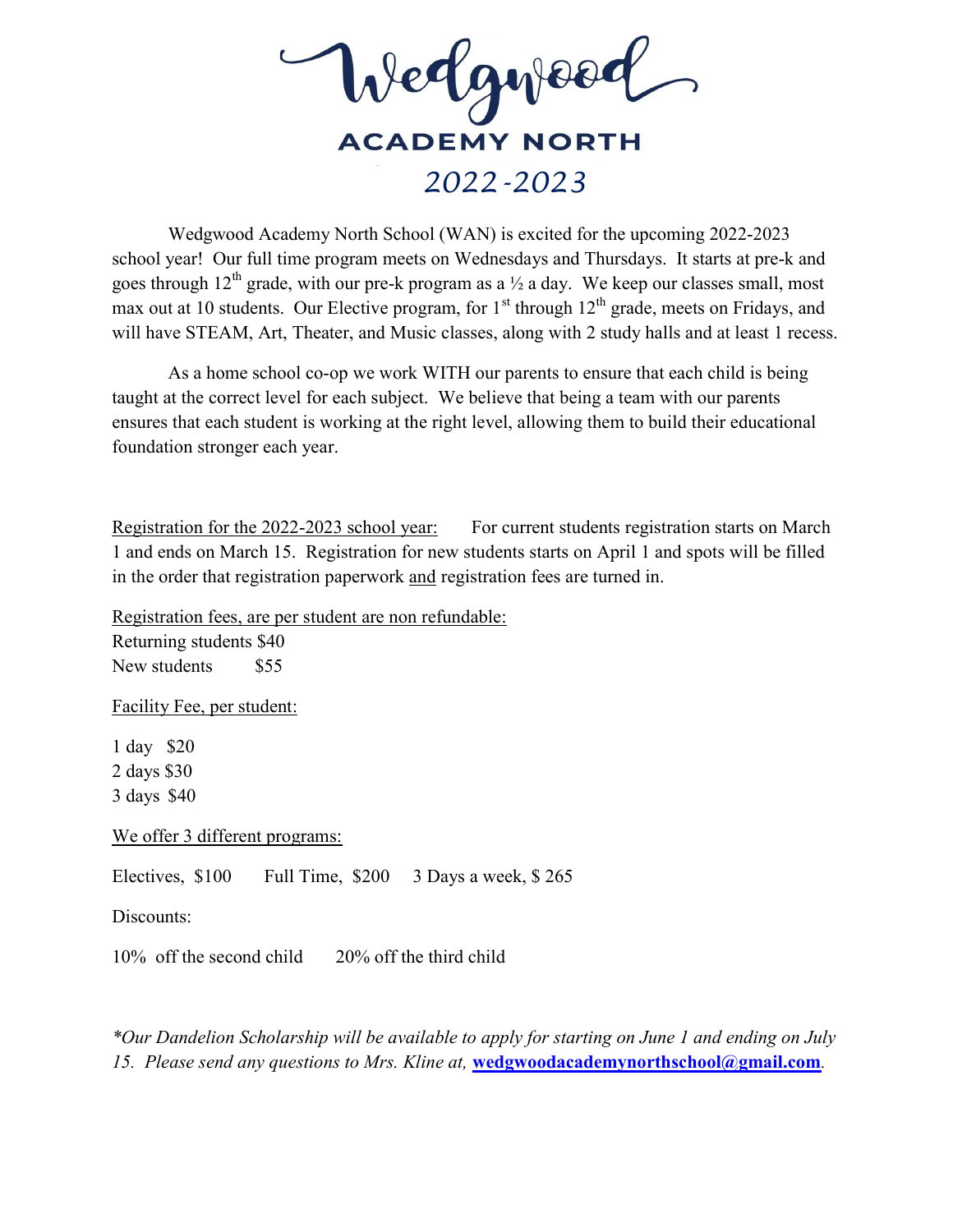

 Wedgwood Academy North School (WAN) is excited for the upcoming 2022-2023 school year! Our full time program meets on Wednesdays and Thursdays. It starts at pre-k and goes through  $12^{th}$  grade, with our pre-k program as a  $\frac{1}{2}$  a day. We keep our classes small, most max out at 10 students. Our Elective program, for  $1<sup>st</sup>$  through  $12<sup>th</sup>$  grade, meets on Fridays, and will have STEAM, Art, Theater, and Music classes, along with 2 study halls and at least 1 recess.

 As a home school co-op we work WITH our parents to ensure that each child is being taught at the correct level for each subject. We believe that being a team with our parents ensures that each student is working at the right level, allowing them to build their educational foundation stronger each year.

Registration for the 2022-2023 school year: For current students registration starts on March 1 and ends on March 15. Registration for new students starts on April 1 and spots will be filled in the order that registration paperwork and registration fees are turned in.

Registration fees, are per student are non refundable: Returning students \$40 New students \$55

Facility Fee, per student:

1 day \$20 2 days \$30 3 days \$40

We offer 3 different programs:

Electives, \$100 Full Time, \$200 3 Days a week, \$ 265

Discounts:

10% off the second child 20% off the third child

\*Our Dandelion Scholarship will be available to apply for starting on June 1 and ending on July 15. Please send any questions to Mrs. Kline at, wedgwoodacademynorthschool@gmail.com.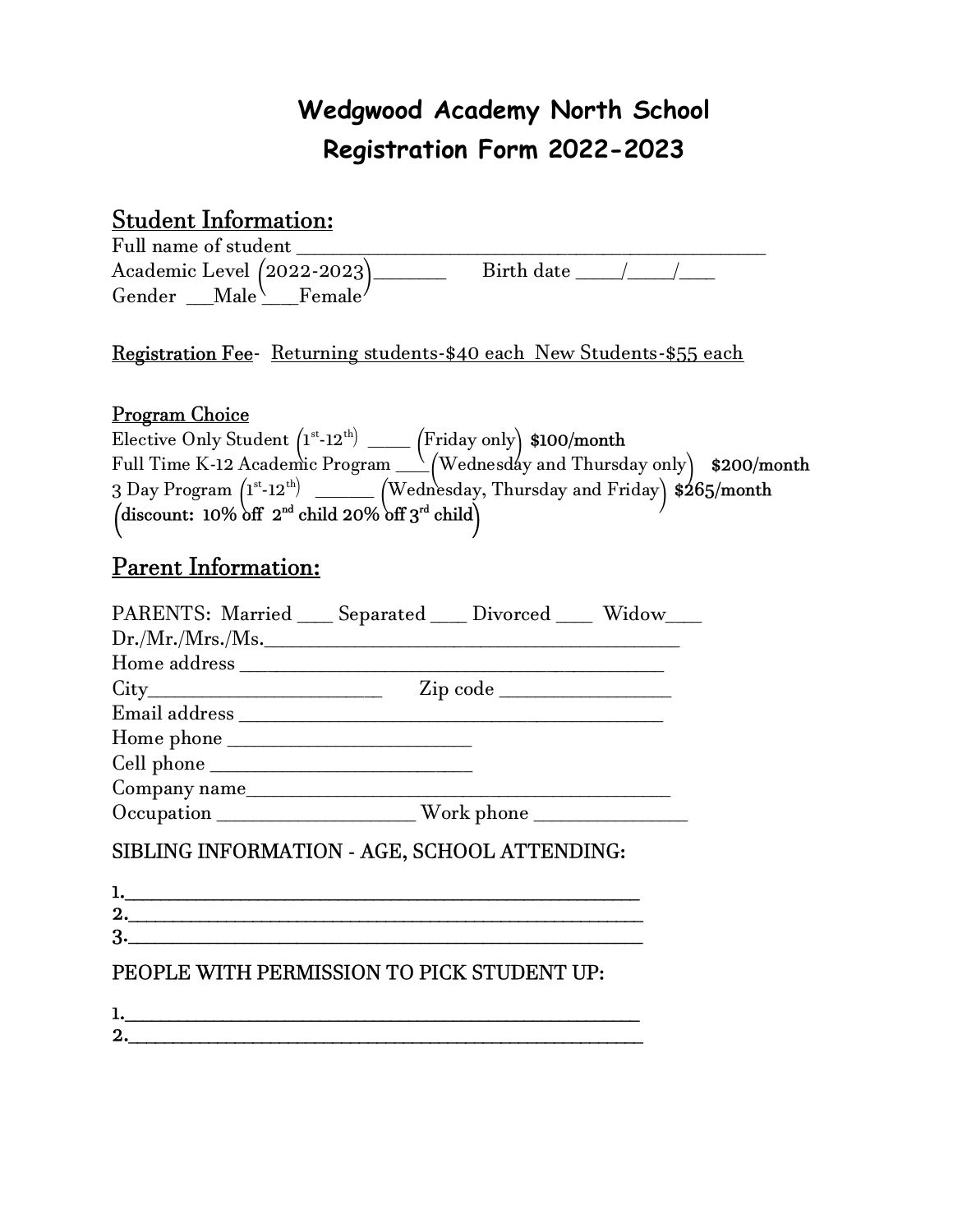# Wedgwood Academy North School Registration Form 2022-2023

# Student Information:

Full name of student \_\_\_\_\_\_\_\_\_\_\_\_\_\_\_\_\_\_\_\_\_\_\_\_\_\_\_\_\_\_\_\_\_\_\_\_\_\_\_\_\_\_\_\_\_\_\_\_\_\_\_\_  $\frac{1}{2}$  Birth date  $\frac{1}{2}$ Gender  $\text{Male} \setminus \text{Female}$ 

.<br>T Registration Fee- Returning students-\$40 each New Students-\$55 each

### Program Choice

| Elective Only Student $(1^{st} - 12^{th})$ ______                                              | $\text{[Friday only]}$ \$100/month |  |
|------------------------------------------------------------------------------------------------|------------------------------------|--|
| Full Time K-12 Academic Program $\sqrt{\text{Wednesddy}}$ and Thursday only $$200/month$       |                                    |  |
| 3 Day Program $(1^{st} - 12^{th})$ ______ (Wednesday, Thursday and Friday) $\frac{6}{5}$ month |                                    |  |
| (discount: $10\% \text{ off } 2^{\text{nd}}$ child $20\% \text{ off } 3^{\text{rd}}$ child)    |                                    |  |

# Parent Information:

| PARENTS: Married ____ Separated ____ Divorced ____ Widow____ |  |
|--------------------------------------------------------------|--|
| Dr./Mr./Mrs./Ms.                                             |  |
|                                                              |  |
|                                                              |  |
|                                                              |  |
|                                                              |  |
| Cell phone                                                   |  |
| Company name                                                 |  |
|                                                              |  |

# SIBLING INFORMATION - AGE, SCHOOL ATTENDING:

| ı. |  |  |  |
|----|--|--|--|
| 2. |  |  |  |
| 3. |  |  |  |
|    |  |  |  |

### PEOPLE WITH PERMISSION TO PICK STUDENT UP:

| T.       |  |
|----------|--|
| ົາ<br>4, |  |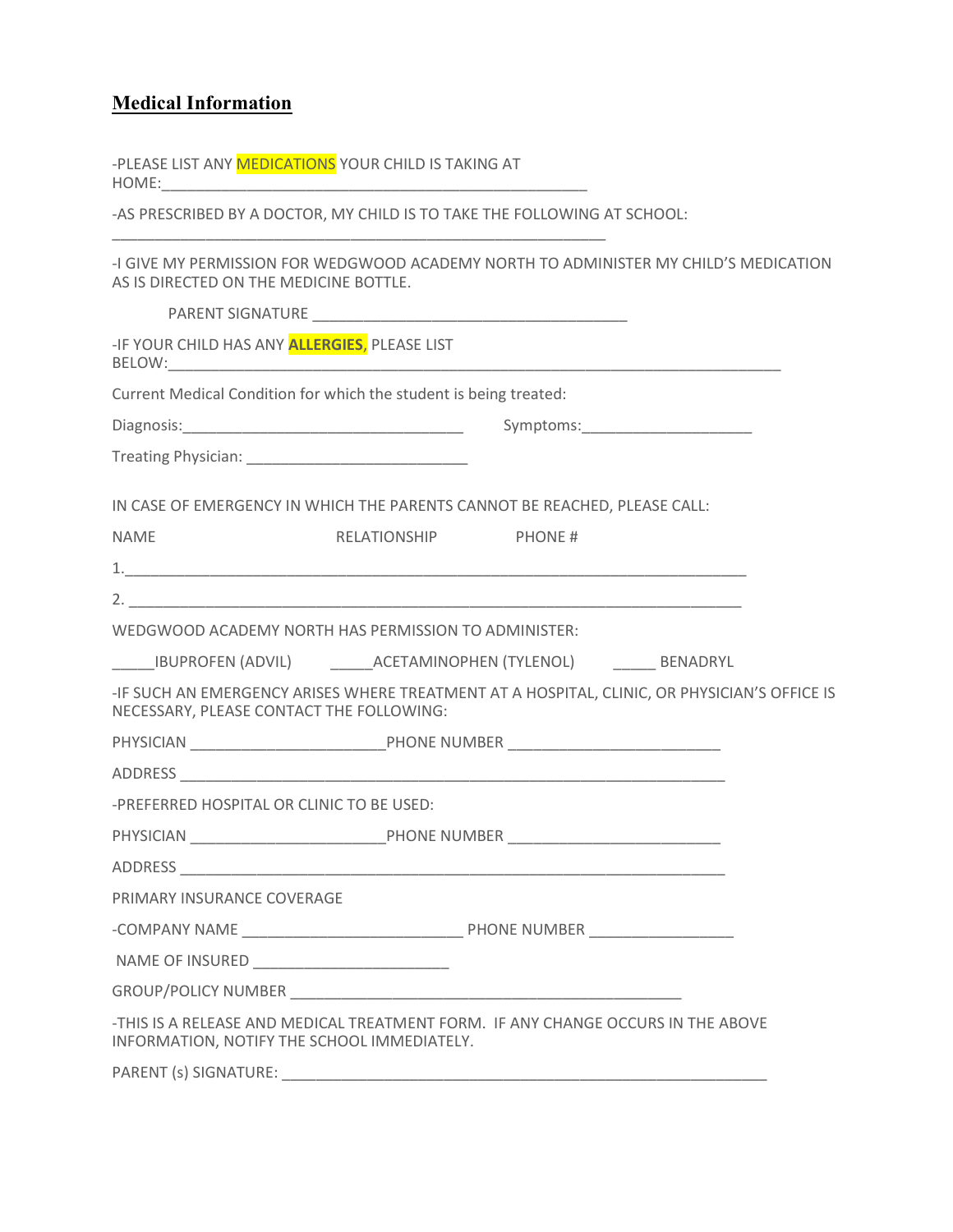### **Medical Information**

-PLEASE LIST ANY **MEDICATIONS** YOUR CHILD IS TAKING AT HOME:

-AS PRESCRIBED BY A DOCTOR, MY CHILD IS TO TAKE THE FOLLOWING AT SCHOOL:

\_\_\_\_\_\_\_\_\_\_\_\_\_\_\_\_\_\_\_\_\_\_\_\_\_\_\_\_\_\_\_\_\_\_\_\_\_\_\_\_\_\_\_\_\_\_\_\_\_\_\_\_\_\_\_\_\_\_

-I GIVE MY PERMISSION FOR WEDGWOOD ACADEMY NORTH TO ADMINISTER MY CHILD'S MEDICATION AS IS DIRECTED ON THE MEDICINE BOTTLE.

| -IF YOUR CHILD HAS ANY <b>ALLERGIES</b> , PLEASE LIST                                                                                                                                                                          |                      |                                                                                                                                                                                                                                |  |
|--------------------------------------------------------------------------------------------------------------------------------------------------------------------------------------------------------------------------------|----------------------|--------------------------------------------------------------------------------------------------------------------------------------------------------------------------------------------------------------------------------|--|
| Current Medical Condition for which the student is being treated:                                                                                                                                                              |                      |                                                                                                                                                                                                                                |  |
|                                                                                                                                                                                                                                |                      |                                                                                                                                                                                                                                |  |
| Treating Physician: National Physician and Physician and Physician and Physician and Physician and Physician and Physician and Physician and Physician and Physician and Physician and Physician and Physician and Physician a |                      |                                                                                                                                                                                                                                |  |
|                                                                                                                                                                                                                                |                      | IN CASE OF EMERGENCY IN WHICH THE PARENTS CANNOT BE REACHED, PLEASE CALL:                                                                                                                                                      |  |
| <b>NAME</b>                                                                                                                                                                                                                    | RELATIONSHIP PHONE # |                                                                                                                                                                                                                                |  |
|                                                                                                                                                                                                                                |                      |                                                                                                                                                                                                                                |  |
|                                                                                                                                                                                                                                |                      |                                                                                                                                                                                                                                |  |
| WEDGWOOD ACADEMY NORTH HAS PERMISSION TO ADMINISTER:                                                                                                                                                                           |                      |                                                                                                                                                                                                                                |  |
|                                                                                                                                                                                                                                |                      | ______IBUPROFEN (ADVIL) __________ACETAMINOPHEN (TYLENOL) _________ BENADRYL                                                                                                                                                   |  |
| NECESSARY, PLEASE CONTACT THE FOLLOWING:                                                                                                                                                                                       |                      | -IF SUCH AN EMERGENCY ARISES WHERE TREATMENT AT A HOSPITAL, CLINIC, OR PHYSICIAN'S OFFICE IS                                                                                                                                   |  |
|                                                                                                                                                                                                                                |                      |                                                                                                                                                                                                                                |  |
|                                                                                                                                                                                                                                |                      |                                                                                                                                                                                                                                |  |
| -PREFERRED HOSPITAL OR CLINIC TO BE USED:                                                                                                                                                                                      |                      |                                                                                                                                                                                                                                |  |
|                                                                                                                                                                                                                                |                      |                                                                                                                                                                                                                                |  |
|                                                                                                                                                                                                                                |                      |                                                                                                                                                                                                                                |  |
| PRIMARY INSURANCE COVERAGE                                                                                                                                                                                                     |                      |                                                                                                                                                                                                                                |  |
|                                                                                                                                                                                                                                |                      |                                                                                                                                                                                                                                |  |
|                                                                                                                                                                                                                                |                      |                                                                                                                                                                                                                                |  |
|                                                                                                                                                                                                                                |                      |                                                                                                                                                                                                                                |  |
| INFORMATION, NOTIFY THE SCHOOL IMMEDIATELY.                                                                                                                                                                                    |                      | -THIS IS A RELEASE AND MEDICAL TREATMENT FORM. IF ANY CHANGE OCCURS IN THE ABOVE                                                                                                                                               |  |
|                                                                                                                                                                                                                                |                      | PARENT (s) SIGNATURE: Note that the state of the state of the state of the state of the state of the state of the state of the state of the state of the state of the state of the state of the state of the state of the stat |  |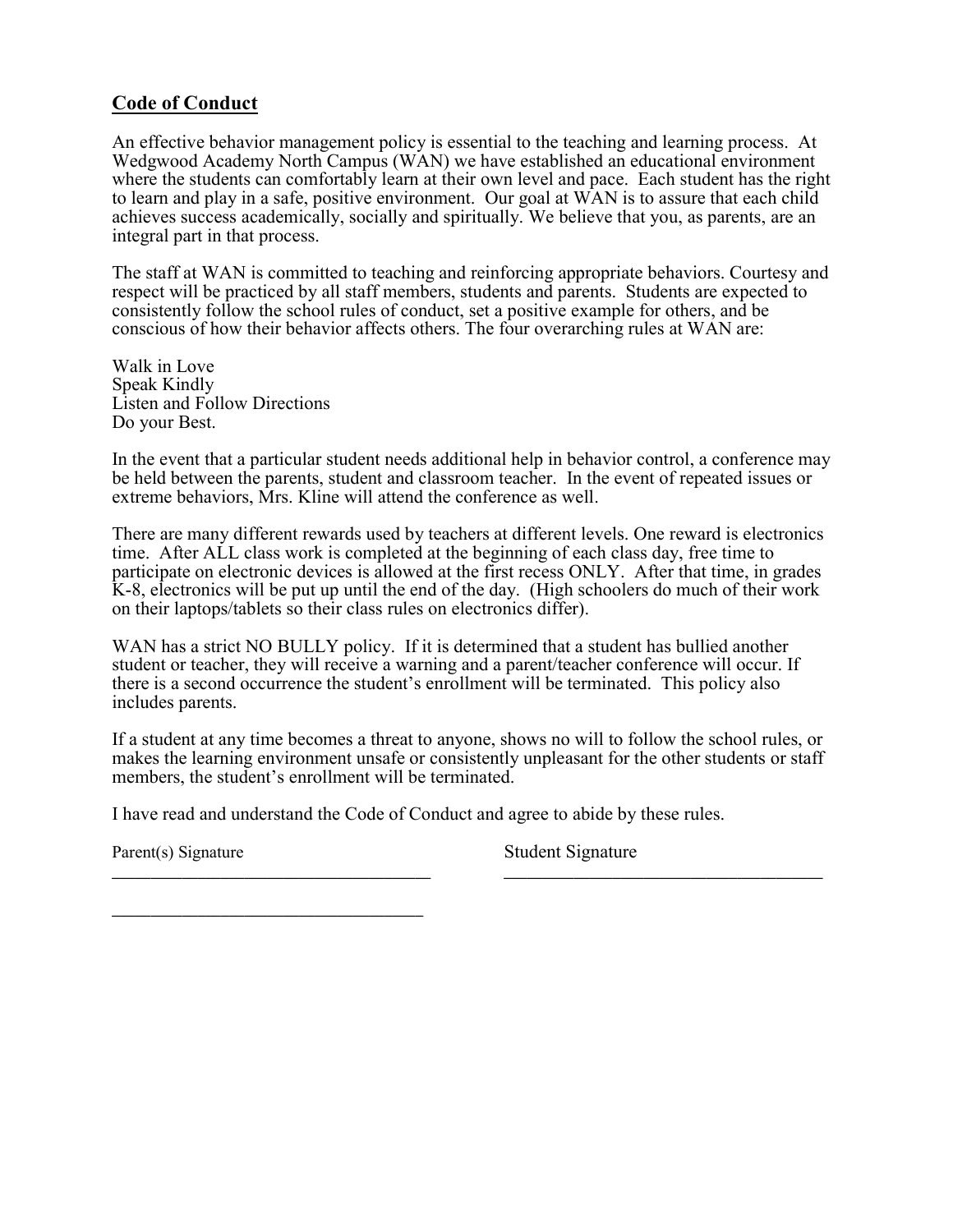### Code of Conduct

An effective behavior management policy is essential to the teaching and learning process. At Wedgwood Academy North Campus (WAN) we have established an educational environment where the students can comfortably learn at their own level and pace. Each student has the right to learn and play in a safe, positive environment. Our goal at WAN is to assure that each child achieves success academically, socially and spiritually. We believe that you, as parents, are an integral part in that process.

The staff at WAN is committed to teaching and reinforcing appropriate behaviors. Courtesy and respect will be practiced by all staff members, students and parents. Students are expected to consistently follow the school rules of conduct, set a positive example for others, and be conscious of how their behavior affects others. The four overarching rules at WAN are:

Walk in Love Speak Kindly Listen and Follow Directions Do your Best.

In the event that a particular student needs additional help in behavior control, a conference may be held between the parents, student and classroom teacher. In the event of repeated issues or extreme behaviors, Mrs. Kline will attend the conference as well.

There are many different rewards used by teachers at different levels. One reward is electronics time. After ALL class work is completed at the beginning of each class day, free time to participate on electronic devices is allowed at the first recess ONLY. After that time, in grades K-8, electronics will be put up until the end of the day. (High schoolers do much of their work on their laptops/tablets so their class rules on electronics differ).

WAN has a strict NO BULLY policy. If it is determined that a student has bullied another student or teacher, they will receive a warning and a parent/teacher conference will occur. If there is a second occurrence the student's enrollment will be terminated. This policy also includes parents.

If a student at any time becomes a threat to anyone, shows no will to follow the school rules, or makes the learning environment unsafe or consistently unpleasant for the other students or staff members, the student's enrollment will be terminated.

\_\_\_\_\_\_\_\_\_\_\_\_\_\_\_\_\_\_\_\_\_\_\_\_\_\_\_\_\_\_\_\_\_\_\_\_\_\_\_\_\_ \_\_\_\_\_\_\_\_\_\_\_\_\_\_\_\_\_\_\_\_\_\_\_\_\_\_\_\_\_\_\_\_\_\_\_\_\_\_\_\_\_

I have read and understand the Code of Conduct and agree to abide by these rules.

Parent(s) Signature Student Signature

\_\_\_\_\_\_\_\_\_\_\_\_\_\_\_\_\_\_\_\_\_\_\_\_\_\_\_\_\_\_\_\_\_\_\_\_\_\_\_\_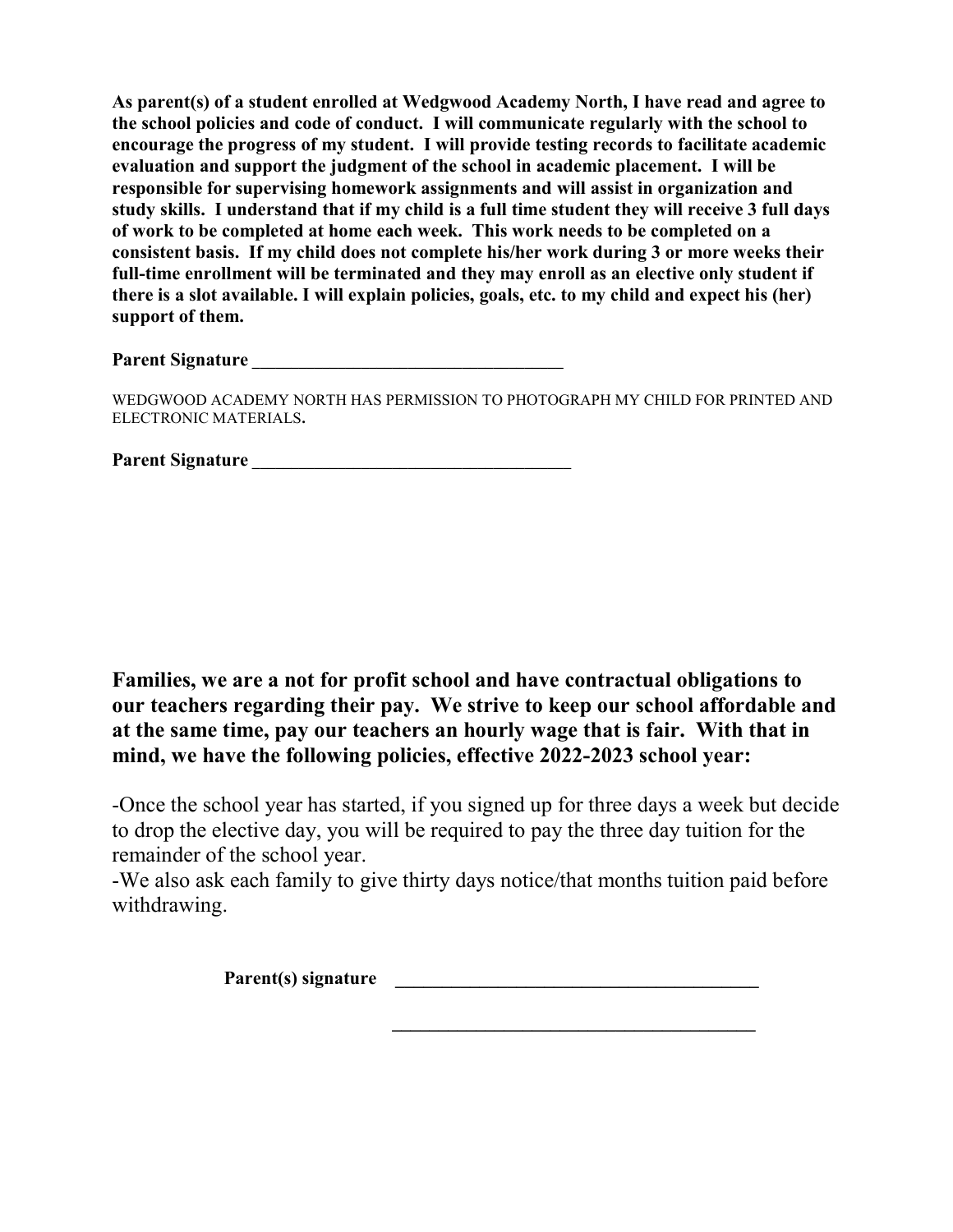As parent(s) of a student enrolled at Wedgwood Academy North, I have read and agree to the school policies and code of conduct. I will communicate regularly with the school to encourage the progress of my student. I will provide testing records to facilitate academic evaluation and support the judgment of the school in academic placement. I will be responsible for supervising homework assignments and will assist in organization and study skills. I understand that if my child is a full time student they will receive 3 full days of work to be completed at home each week. This work needs to be completed on a consistent basis. If my child does not complete his/her work during 3 or more weeks their full-time enrollment will be terminated and they may enroll as an elective only student if there is a slot available. I will explain policies, goals, etc. to my child and expect his (her) support of them.

Parent Signature

WEDGWOOD ACADEMY NORTH HAS PERMISSION TO PHOTOGRAPH MY CHILD FOR PRINTED AND ELECTRONIC MATERIALS.

| <b>Parent Signature</b> |  |
|-------------------------|--|
|-------------------------|--|

Families, we are a not for profit school and have contractual obligations to our teachers regarding their pay. We strive to keep our school affordable and at the same time, pay our teachers an hourly wage that is fair. With that in mind, we have the following policies, effective 2022-2023 school year:

-Once the school year has started, if you signed up for three days a week but decide to drop the elective day, you will be required to pay the three day tuition for the remainder of the school year.

-We also ask each family to give thirty days notice/that months tuition paid before withdrawing.

 $\mathcal{L}_\text{max}$  and  $\mathcal{L}_\text{max}$  and  $\mathcal{L}_\text{max}$  and  $\mathcal{L}_\text{max}$  and  $\mathcal{L}_\text{max}$ 

Parent(s) signature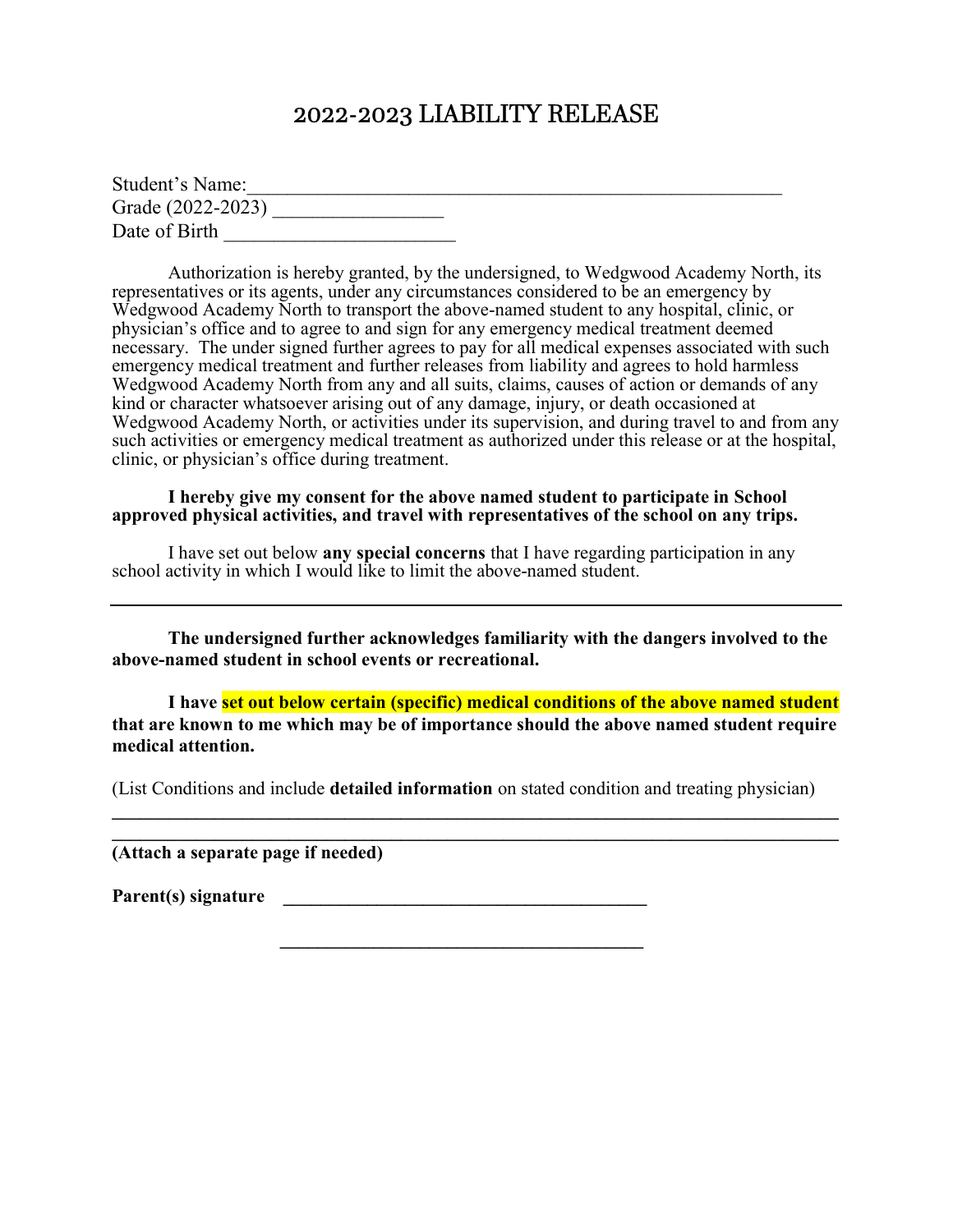### 2022-2023 LIABILITY RELEASE

| Student's Name:   |  |
|-------------------|--|
| Grade (2022-2023) |  |
| Date of Birth     |  |

 Authorization is hereby granted, by the undersigned, to Wedgwood Academy North, its representatives or its agents, under any circumstances considered to be an emergency by Wedgwood Academy North to transport the above-named student to any hospital, clinic, or physician's office and to agree to and sign for any emergency medical treatment deemed necessary. The under signed further agrees to pay for all medical expenses associated with such emergency medical treatment and further releases from liability and agrees to hold harmless Wedgwood Academy North from any and all suits, claims, causes of action or demands of any kind or character whatsoever arising out of any damage, injury, or death occasioned at Wedgwood Academy North, or activities under its supervision, and during travel to and from any such activities or emergency medical treatment as authorized under this release or at the hospital, clinic, or physician's office during treatment.

 I hereby give my consent for the above named student to participate in School approved physical activities, and travel with representatives of the school on any trips.

I have set out below any special concerns that I have regarding participation in any school activity in which I would like to limit the above-named student.

 The undersigned further acknowledges familiarity with the dangers involved to the above-named student in school events or recreational.

I have set out below certain (specific) medical conditions of the above named student that are known to me which may be of importance should the above named student require medical attention.

(List Conditions and include detailed information on stated condition and treating physician)

 $\mathcal{L}_\text{max} = \frac{1}{2} \sum_{i=1}^{n} \frac{1}{2} \sum_{i=1}^{n} \frac{1}{2} \sum_{i=1}^{n} \frac{1}{2} \sum_{i=1}^{n} \frac{1}{2} \sum_{i=1}^{n} \frac{1}{2} \sum_{i=1}^{n} \frac{1}{2} \sum_{i=1}^{n} \frac{1}{2} \sum_{i=1}^{n} \frac{1}{2} \sum_{i=1}^{n} \frac{1}{2} \sum_{i=1}^{n} \frac{1}{2} \sum_{i=1}^{n} \frac{1}{2} \sum_{i=1}^{n} \frac{1$ 

 $\mathcal{L}_\mathcal{L} = \mathcal{L}_\mathcal{L} = \mathcal{L}_\mathcal{L} = \mathcal{L}_\mathcal{L} = \mathcal{L}_\mathcal{L} = \mathcal{L}_\mathcal{L} = \mathcal{L}_\mathcal{L} = \mathcal{L}_\mathcal{L} = \mathcal{L}_\mathcal{L} = \mathcal{L}_\mathcal{L} = \mathcal{L}_\mathcal{L} = \mathcal{L}_\mathcal{L} = \mathcal{L}_\mathcal{L} = \mathcal{L}_\mathcal{L} = \mathcal{L}_\mathcal{L} = \mathcal{L}_\mathcal{L} = \mathcal{L}_\mathcal{L}$  $\mathcal{L}_\mathcal{L} = \mathcal{L}_\mathcal{L} = \mathcal{L}_\mathcal{L} = \mathcal{L}_\mathcal{L} = \mathcal{L}_\mathcal{L} = \mathcal{L}_\mathcal{L} = \mathcal{L}_\mathcal{L} = \mathcal{L}_\mathcal{L} = \mathcal{L}_\mathcal{L} = \mathcal{L}_\mathcal{L} = \mathcal{L}_\mathcal{L} = \mathcal{L}_\mathcal{L} = \mathcal{L}_\mathcal{L} = \mathcal{L}_\mathcal{L} = \mathcal{L}_\mathcal{L} = \mathcal{L}_\mathcal{L} = \mathcal{L}_\mathcal{L}$ 

(Attach a separate page if needed)

Parent(s) signature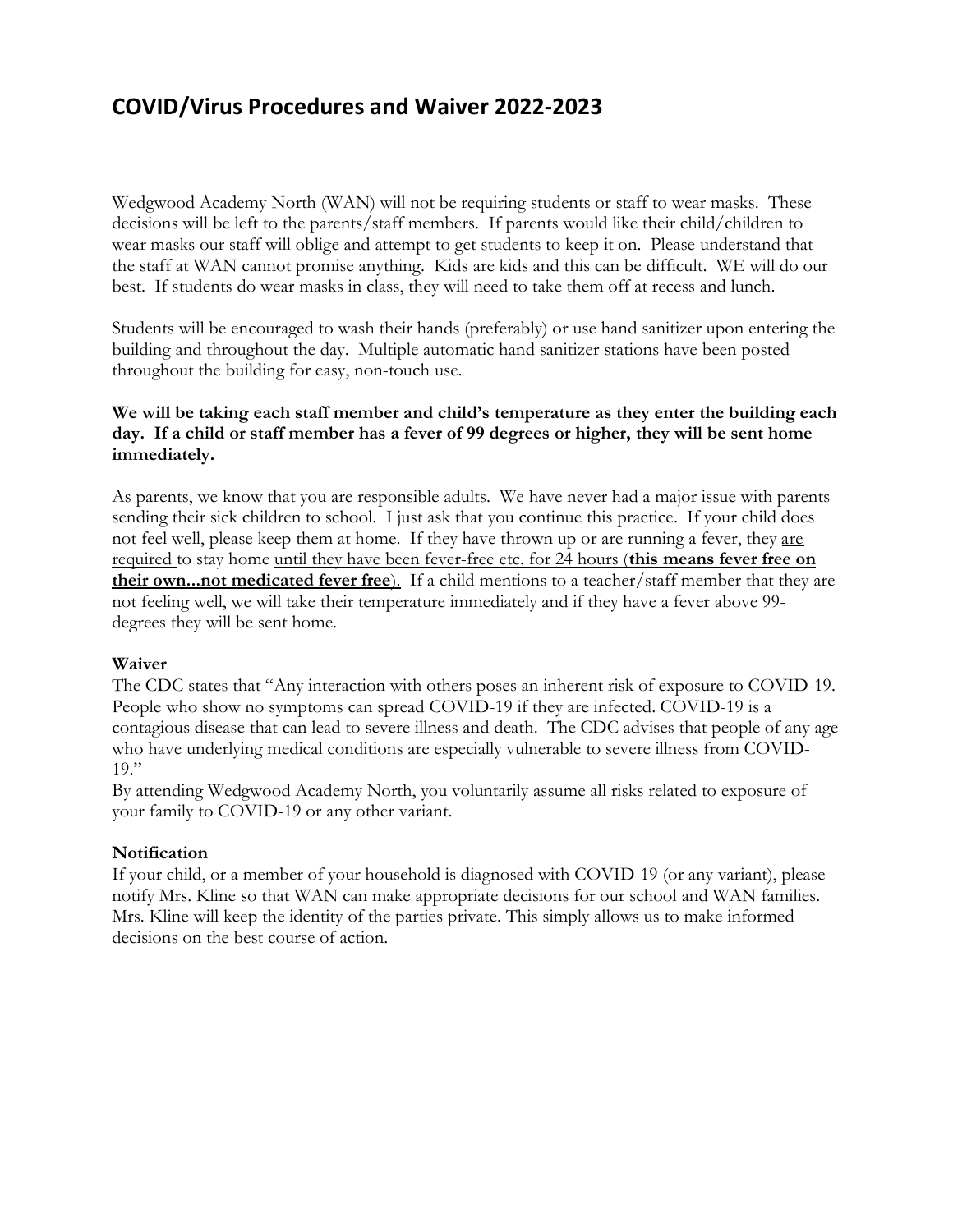## COVID/Virus Procedures and Waiver 2022-2023

Wedgwood Academy North (WAN) will not be requiring students or staff to wear masks. These decisions will be left to the parents/staff members. If parents would like their child/children to wear masks our staff will oblige and attempt to get students to keep it on. Please understand that the staff at WAN cannot promise anything. Kids are kids and this can be difficult. WE will do our best. If students do wear masks in class, they will need to take them off at recess and lunch.

Students will be encouraged to wash their hands (preferably) or use hand sanitizer upon entering the building and throughout the day. Multiple automatic hand sanitizer stations have been posted throughout the building for easy, non-touch use.

### We will be taking each staff member and child's temperature as they enter the building each day. If a child or staff member has a fever of 99 degrees or higher, they will be sent home immediately.

As parents, we know that you are responsible adults. We have never had a major issue with parents sending their sick children to school. I just ask that you continue this practice. If your child does not feel well, please keep them at home. If they have thrown up or are running a fever, they are required to stay home until they have been fever-free etc. for 24 hours (this means fever free on their own...not medicated fever free). If a child mentions to a teacher/staff member that they are not feeling well, we will take their temperature immediately and if they have a fever above 99 degrees they will be sent home.

### Waiver

The CDC states that "Any interaction with others poses an inherent risk of exposure to COVID-19. People who show no symptoms can spread COVID-19 if they are infected. COVID-19 is a contagious disease that can lead to severe illness and death. The CDC advises that people of any age who have underlying medical conditions are especially vulnerable to severe illness from COVID- $19$ "

By attending Wedgwood Academy North, you voluntarily assume all risks related to exposure of your family to COVID-19 or any other variant.

#### Notification

If your child, or a member of your household is diagnosed with COVID-19 (or any variant), please notify Mrs. Kline so that WAN can make appropriate decisions for our school and WAN families. Mrs. Kline will keep the identity of the parties private. This simply allows us to make informed decisions on the best course of action.